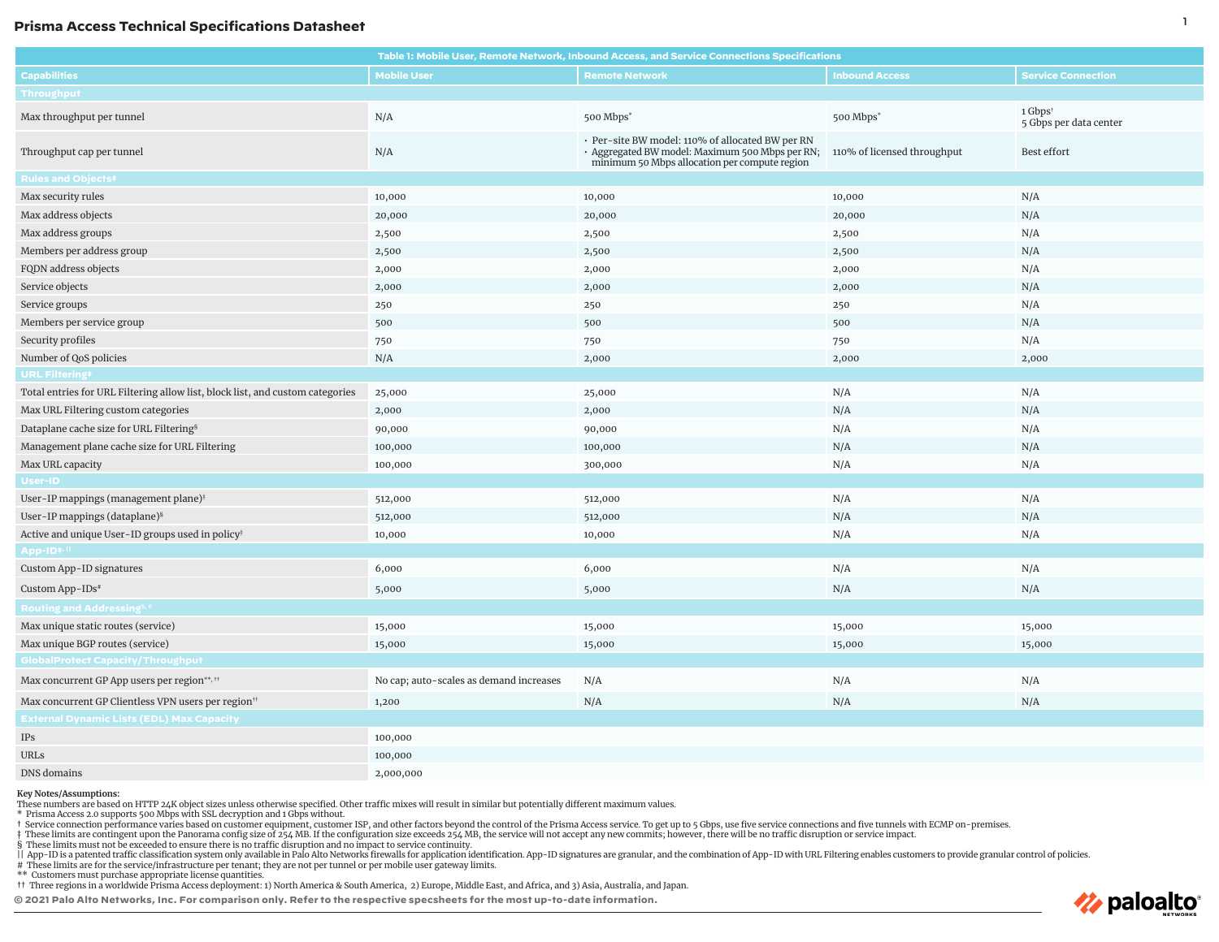## <sup>1</sup> **Prisma Access Technical Specifications Datasheet**

| Table 1: Mobile User, Remote Network, Inbound Access, and Service Connections Specifications |                                         |                                                                                                                                                      |                             |                                   |
|----------------------------------------------------------------------------------------------|-----------------------------------------|------------------------------------------------------------------------------------------------------------------------------------------------------|-----------------------------|-----------------------------------|
| <b>Capabilities</b>                                                                          | <b>Mobile User</b>                      | <b>Remote Network</b>                                                                                                                                | <b>Inbound Access</b>       | <b>Service Connection</b>         |
| <b>Throughput</b>                                                                            |                                         |                                                                                                                                                      |                             |                                   |
| Max throughput per tunnel                                                                    | N/A                                     | 500 Mbps*                                                                                                                                            | 500 Mbps*                   | 1 Gbps†<br>5 Gbps per data center |
| Throughput cap per tunnel                                                                    | $\rm N/A$                               | · Per-site BW model: 110% of allocated BW per RN<br>· Aggregated BW model: Maximum 500 Mbps per RN;<br>minimum 50 Mbps allocation per compute region | 110% of licensed throughput | Best effort                       |
| <b>Rules and Objects#</b>                                                                    |                                         |                                                                                                                                                      |                             |                                   |
| Max security rules                                                                           | 10,000                                  | 10,000                                                                                                                                               | 10,000                      | N/A                               |
| Max address objects                                                                          | 20,000                                  | 20,000                                                                                                                                               | 20,000                      | N/A                               |
| Max address groups                                                                           | 2,500                                   | 2,500                                                                                                                                                | 2,500                       | N/A                               |
| Members per address group                                                                    | 2,500                                   | 2,500                                                                                                                                                | 2,500                       | N/A                               |
| FQDN address objects                                                                         | 2,000                                   | 2,000                                                                                                                                                | 2,000                       | N/A                               |
| Service objects                                                                              | 2,000                                   | 2,000                                                                                                                                                | 2,000                       | N/A                               |
| Service groups                                                                               | 250                                     | 250                                                                                                                                                  | 250                         | N/A                               |
| Members per service group                                                                    | 500                                     | 500                                                                                                                                                  | 500                         | N/A                               |
| Security profiles                                                                            | 750                                     | 750                                                                                                                                                  | 750                         | N/A                               |
| Number of QoS policies                                                                       | N/A                                     | 2,000                                                                                                                                                | 2,000                       | 2,000                             |
| <b>URL Filtering#</b>                                                                        |                                         |                                                                                                                                                      |                             |                                   |
| Total entries for URL Filtering allow list, block list, and custom categories                | 25,000                                  | 25,000                                                                                                                                               | N/A                         | N/A                               |
| Max URL Filtering custom categories                                                          | 2,000                                   | 2,000                                                                                                                                                | N/A                         | N/A                               |
| Dataplane cache size for URL Filtering <sup>§</sup>                                          | 90,000                                  | 90,000                                                                                                                                               | N/A                         | N/A                               |
| Management plane cache size for URL Filtering                                                | 100,000                                 | 100,000                                                                                                                                              | N/A                         | N/A                               |
| Max URL capacity                                                                             | 100,000                                 | 300,000                                                                                                                                              | N/A                         | N/A                               |
| User-ID                                                                                      |                                         |                                                                                                                                                      |                             |                                   |
| User-IP mappings (management plane) <sup>†</sup>                                             | 512,000                                 | 512,000                                                                                                                                              | N/A                         | N/A                               |
| User-IP mappings (dataplane) <sup>§</sup>                                                    | 512,000                                 | 512,000                                                                                                                                              | N/A                         | N/A                               |
| Active and unique User-ID groups used in policy <sup>†</sup>                                 | 10,000                                  | 10,000                                                                                                                                               | N/A                         | N/A                               |
| App-ID <sup>#/II</sup>                                                                       |                                         |                                                                                                                                                      |                             |                                   |
| Custom App-ID signatures                                                                     | 6,000                                   | 6,000                                                                                                                                                | N/A                         | N/A                               |
| Custom App-IDs#                                                                              | 5,000                                   | 5,000                                                                                                                                                | N/A                         | N/A                               |
| Routing and Addressing <sup>§,#</sup>                                                        |                                         |                                                                                                                                                      |                             |                                   |
| Max unique static routes (service)                                                           | 15,000                                  | 15,000                                                                                                                                               | 15,000                      | 15,000                            |
| Max unique BGP routes (service)                                                              | 15,000                                  | 15,000                                                                                                                                               | 15,000                      | 15,000                            |
| <b>GlobalProtect Capacity/Throughput</b>                                                     |                                         |                                                                                                                                                      |                             |                                   |
| Max concurrent GP App users per region**, <sup>11</sup>                                      | No cap; auto-scales as demand increases | N/A                                                                                                                                                  | N/A                         | N/A                               |
| Max concurrent GP Clientless VPN users per region <sup>11</sup>                              | 1,200                                   | N/A                                                                                                                                                  | N/A                         | N/A                               |
| <b>External Dynamic Lists (EDL) Max Capacity</b>                                             |                                         |                                                                                                                                                      |                             |                                   |
| IPs                                                                                          | 100,000                                 |                                                                                                                                                      |                             |                                   |
| URLs                                                                                         | 100,000                                 |                                                                                                                                                      |                             |                                   |
| DNS domains                                                                                  | 2,000,000                               |                                                                                                                                                      |                             |                                   |

## **Key Notes/Assumptions:**

These numbers are based on HTTP 24K object sizes unless otherwise specified. Other traffic mixes will result in similar but potentially different maximum values.<br>\* Prisma Access 2.0 supports 500 Mbps with SSL decryption a

t Service connection performance varies based on customer equipment, customer ISP, and other factors beyond the control of the Prisma Access service. To get up to 5 Gbps, use five service connections and five tunnels with

‡ These limits are contingent upon the Panorama config size of 254 MB. If the configuration size exceeds 254 MB, the service will not accept any new commits; however, there will be no traffic disruption or service impact.

§ These limits must not be exceeded to ensure there is no traffic disruption and no impact to service continuity.

| App-ID is a patented traffic classification system only available in Paio Alto Networks firewalls for application identification. App-ID signatures are granular, and the combination of App-ID with URL Filtering enables c

# These limits are for the service/infrastructure per tenant; they are not per tunnel or per mobile user gateway limits. \*\* Customers must purchase appropriate license quantities.

†† Three regions in a worldwide Prisma Access deployment: 1) North America & South America, 2) Europe, Middle East, and Africa, and 3) Asia, Australia, and Japan.

**© 2021 Palo Alto Networks, Inc. For comparison only. Refer to the respective specsheets for the most up-to-date information.**